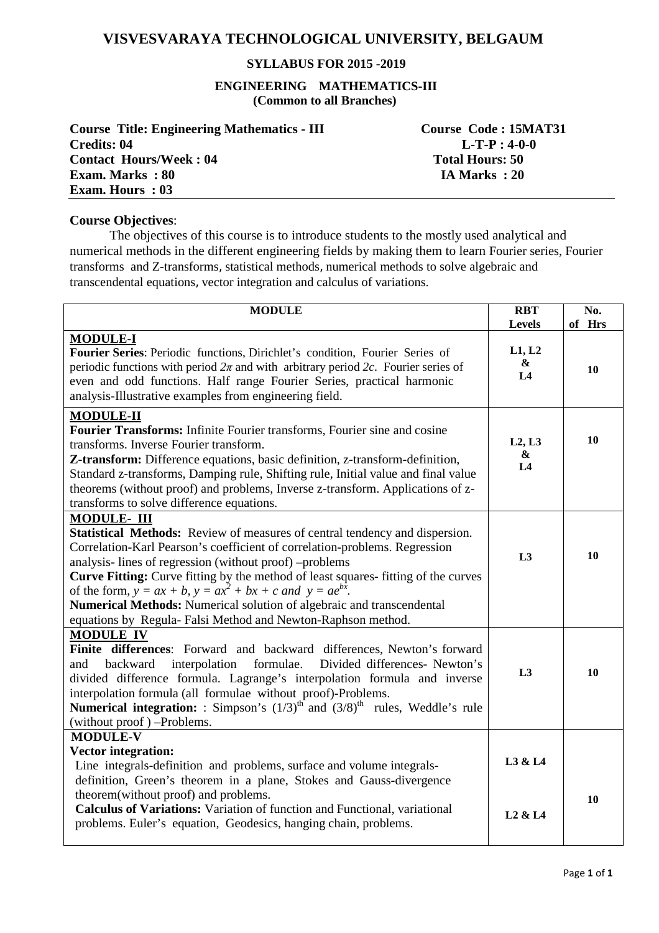# **VISVESVARAYA TECHNOLOGICAL UNIVERSITY, BELGAUM**

# **SYLLABUS FOR 2015 -2019**

#### **ENGINEERING MATHEMATICS-III (Common to all Branches)**

| <b>Course Title: Engineering Mathematics - III</b> | Course Code: 15MAT31   |
|----------------------------------------------------|------------------------|
| Credits: 04                                        | $L-T-P: 4-0-0$         |
| <b>Contact Hours/Week: 04</b>                      | <b>Total Hours: 50</b> |
| <b>Exam. Marks</b> : 80                            | IA Marks : 20          |
| <b>Exam. Hours: 03</b>                             |                        |

#### **Course Objectives**:

 The objectives of this course is to introduce students to the mostly used analytical and numerical methods in the different engineering fields by making them to learn Fourier series, Fourier transforms and Z-transforms, statistical methods, numerical methods to solve algebraic and transcendental equations, vector integration and calculus of variations.

| <b>MODULE</b>                                                                                                                                                                                                                                                                                                                                                                                                                                                                                                                                              |                                            | No.<br>of Hrs |
|------------------------------------------------------------------------------------------------------------------------------------------------------------------------------------------------------------------------------------------------------------------------------------------------------------------------------------------------------------------------------------------------------------------------------------------------------------------------------------------------------------------------------------------------------------|--------------------------------------------|---------------|
| <b>MODULE-I</b><br>Fourier Series: Periodic functions, Dirichlet's condition, Fourier Series of<br>periodic functions with period $2\pi$ and with arbitrary period 2c. Fourier series of<br>even and odd functions. Half range Fourier Series, practical harmonic<br>analysis-Illustrative examples from engineering field.                                                                                                                                                                                                                                | Levels<br>L1, L2<br>$\pmb{\&}$<br>L4       | 10            |
| <b>MODULE-II</b><br>Fourier Transforms: Infinite Fourier transforms, Fourier sine and cosine<br>transforms. Inverse Fourier transform.<br>Z-transform: Difference equations, basic definition, z-transform-definition,<br>Standard z-transforms, Damping rule, Shifting rule, Initial value and final value<br>theorems (without proof) and problems, Inverse z-transform. Applications of z-<br>transforms to solve difference equations.                                                                                                                 | L2, L3<br>&<br>L4                          | 10            |
| <b>MODULE-III</b><br><b>Statistical Methods:</b> Review of measures of central tendency and dispersion.<br>Correlation-Karl Pearson's coefficient of correlation-problems. Regression<br>analysis-lines of regression (without proof) -problems<br><b>Curve Fitting:</b> Curve fitting by the method of least squares-fitting of the curves<br>of the form, $y = ax + b$ , $y = ax^2 + bx + c$ and $y = ae^{bx}$ .<br>Numerical Methods: Numerical solution of algebraic and transcendental<br>equations by Regula-Falsi Method and Newton-Raphson method. |                                            | 10            |
| <b>MODULE IV</b><br>Finite differences: Forward and backward differences, Newton's forward<br>Divided differences- Newton's<br>backward<br>interpolation<br>formulae.<br>and<br>divided difference formula. Lagrange's interpolation formula and inverse<br>interpolation formula (all formulae without proof)-Problems.<br><b>Numerical integration:</b> : Simpson's $(1/3)^{th}$ and $(3/8)^{th}$ rules, Weddle's rule<br>(without proof) -Problems.                                                                                                     | L3                                         | 10            |
| <b>MODULE-V</b><br><b>Vector integration:</b><br>Line integrals-definition and problems, surface and volume integrals-<br>definition, Green's theorem in a plane, Stokes and Gauss-divergence<br>theorem(without proof) and problems.<br>Calculus of Variations: Variation of function and Functional, variational<br>problems. Euler's equation, Geodesics, hanging chain, problems.                                                                                                                                                                      | L3 & L4<br>L <sub>2</sub> & L <sub>4</sub> | 10            |